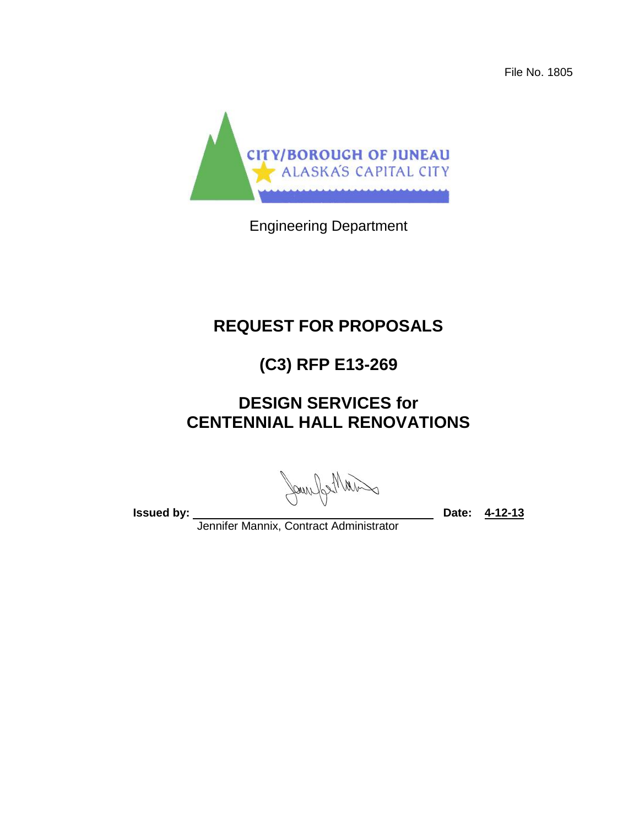File No. 1805



Engineering Department

# **REQUEST FOR PROPOSALS**

# **(C3) RFP E13-269**

# **DESIGN SERVICES for CENTENNIAL HALL RENOVATIONS**

will befung

**Issued by:** 2008. 2019. 2019. 2019. 2019. 2019. 2019. 2019. 2019. 2019. 2019. 2019. 2019. 2019. 2019. 2019. 2019. 2019. 2019. 2019. 2019. 2019. 2019. 2019. 2019. 2019. 2019. 2019. 2019. 2019. 2019. 2019. 2019. 2019. 2019.

Jennifer Mannix, Contract Administrator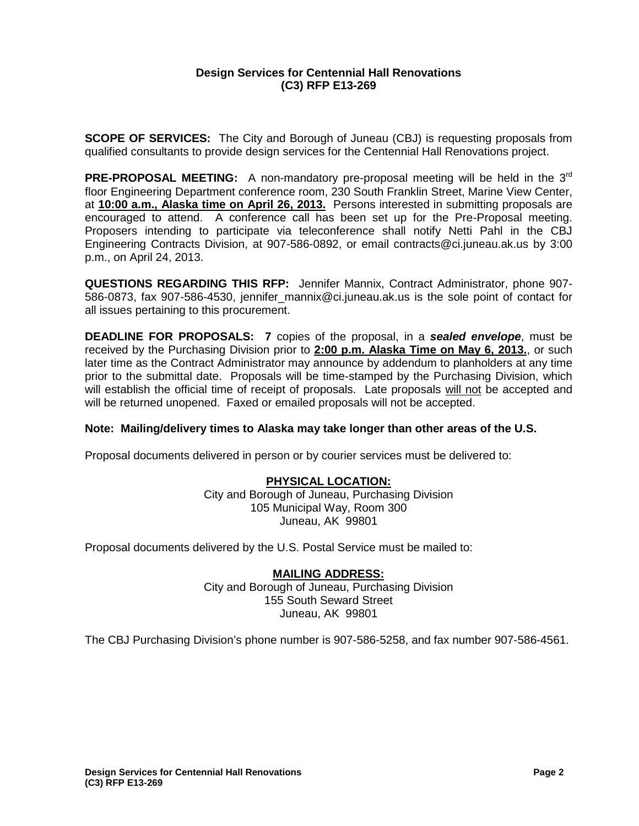## **Design Services for Centennial Hall Renovations (C3) RFP E13-269**

**SCOPE OF SERVICES:** The City and Borough of Juneau (CBJ) is requesting proposals from qualified consultants to provide design services for the Centennial Hall Renovations project.

**PRE-PROPOSAL MEETING:** A non-mandatory pre-proposal meeting will be held in the 3<sup>rd</sup> floor Engineering Department conference room, 230 South Franklin Street, Marine View Center, at **10:00 a.m., Alaska time on April 26, 2013.** Persons interested in submitting proposals are encouraged to attend. A conference call has been set up for the Pre-Proposal meeting. Proposers intending to participate via teleconference shall notify Netti Pahl in the CBJ Engineering Contracts Division, at 907-586-0892, or email contracts@ci.juneau.ak.us by 3:00 p.m., on April 24, 2013.

**QUESTIONS REGARDING THIS RFP:** Jennifer Mannix, Contract Administrator, phone 907- 586-0873, fax 907-586-4530, jennifer\_mannix@ci.juneau.ak.us is the sole point of contact for all issues pertaining to this procurement.

**DEADLINE FOR PROPOSALS: 7** copies of the proposal, in a *sealed envelope*, must be received by the Purchasing Division prior to **2:00 p.m. Alaska Time on May 6, 2013.**, or such later time as the Contract Administrator may announce by addendum to planholders at any time prior to the submittal date. Proposals will be time-stamped by the Purchasing Division, which will establish the official time of receipt of proposals. Late proposals will not be accepted and will be returned unopened. Faxed or emailed proposals will not be accepted.

#### **Note: Mailing/delivery times to Alaska may take longer than other areas of the U.S.**

Proposal documents delivered in person or by courier services must be delivered to:

## **PHYSICAL LOCATION:**

City and Borough of Juneau, Purchasing Division 105 Municipal Way, Room 300 Juneau, AK 99801

Proposal documents delivered by the U.S. Postal Service must be mailed to:

## **MAILING ADDRESS:**

City and Borough of Juneau, Purchasing Division 155 South Seward Street Juneau, AK 99801

The CBJ Purchasing Division's phone number is 907-586-5258, and fax number 907-586-4561.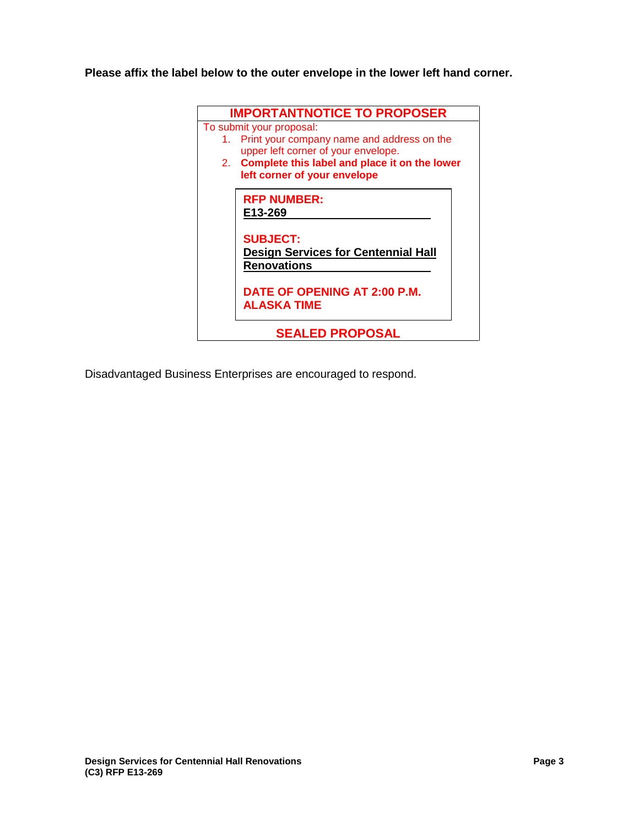**Please affix the label below to the outer envelope in the lower left hand corner.**



Disadvantaged Business Enterprises are encouraged to respond.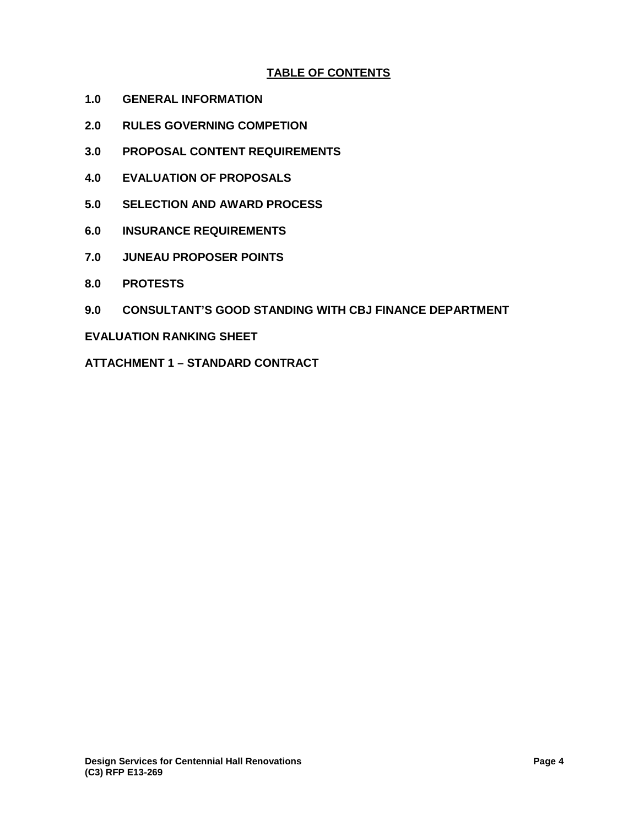# **TABLE OF CONTENTS**

- **1.0 GENERAL INFORMATION**
- **2.0 RULES GOVERNING COMPETION**
- **3.0 PROPOSAL CONTENT REQUIREMENTS**
- **4.0 EVALUATION OF PROPOSALS**
- **5.0 SELECTION AND AWARD PROCESS**
- **6.0 INSURANCE REQUIREMENTS**
- **7.0 JUNEAU PROPOSER POINTS**
- **8.0 PROTESTS**
- **9.0 CONSULTANT'S GOOD STANDING WITH CBJ FINANCE DEPARTMENT**

#### **EVALUATION RANKING SHEET**

**ATTACHMENT 1 – STANDARD CONTRACT**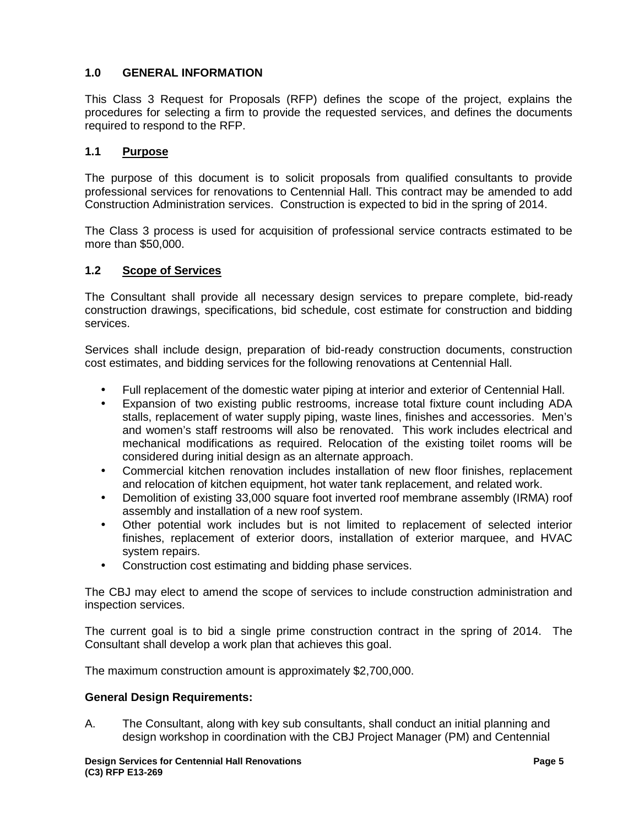# **1.0 GENERAL INFORMATION**

This Class 3 Request for Proposals (RFP) defines the scope of the project, explains the procedures for selecting a firm to provide the requested services, and defines the documents required to respond to the RFP.

## **1.1 Purpose**

The purpose of this document is to solicit proposals from qualified consultants to provide professional services for renovations to Centennial Hall. This contract may be amended to add Construction Administration services. Construction is expected to bid in the spring of 2014.

The Class 3 process is used for acquisition of professional service contracts estimated to be more than \$50,000.

## **1.2 Scope of Services**

The Consultant shall provide all necessary design services to prepare complete, bid-ready construction drawings, specifications, bid schedule, cost estimate for construction and bidding services.

Services shall include design, preparation of bid-ready construction documents, construction cost estimates, and bidding services for the following renovations at Centennial Hall.

- Full replacement of the domestic water piping at interior and exterior of Centennial Hall.
- Expansion of two existing public restrooms, increase total fixture count including ADA stalls, replacement of water supply piping, waste lines, finishes and accessories. Men's and women's staff restrooms will also be renovated. This work includes electrical and mechanical modifications as required. Relocation of the existing toilet rooms will be considered during initial design as an alternate approach.
- Commercial kitchen renovation includes installation of new floor finishes, replacement and relocation of kitchen equipment, hot water tank replacement, and related work.
- Demolition of existing 33,000 square foot inverted roof membrane assembly (IRMA) roof assembly and installation of a new roof system.
- Other potential work includes but is not limited to replacement of selected interior finishes, replacement of exterior doors, installation of exterior marquee, and HVAC system repairs.
- Construction cost estimating and bidding phase services.

The CBJ may elect to amend the scope of services to include construction administration and inspection services.

The current goal is to bid a single prime construction contract in the spring of 2014. The Consultant shall develop a work plan that achieves this goal.

The maximum construction amount is approximately \$2,700,000.

#### **General Design Requirements:**

A. The Consultant, along with key sub consultants, shall conduct an initial planning and design workshop in coordination with the CBJ Project Manager (PM) and Centennial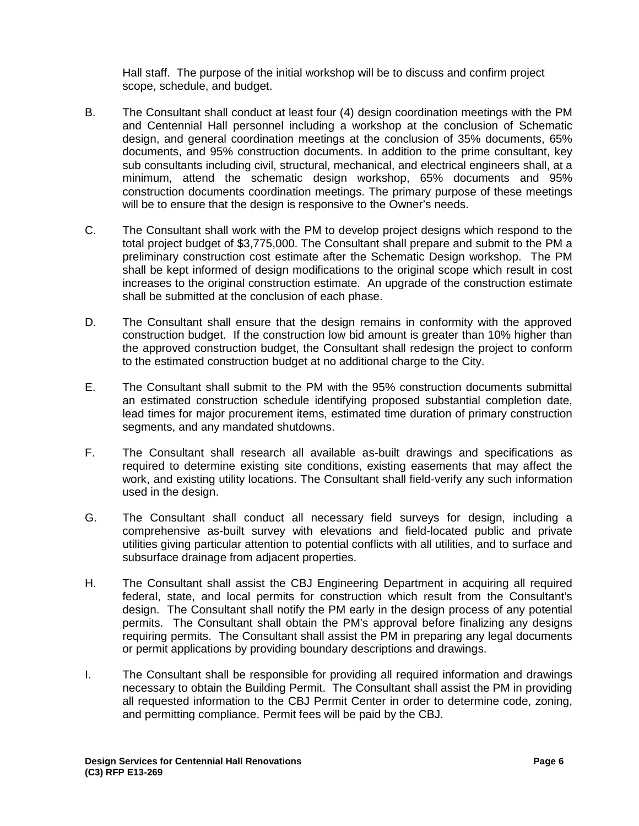Hall staff. The purpose of the initial workshop will be to discuss and confirm project scope, schedule, and budget.

- B. The Consultant shall conduct at least four (4) design coordination meetings with the PM and Centennial Hall personnel including a workshop at the conclusion of Schematic design, and general coordination meetings at the conclusion of 35% documents, 65% documents, and 95% construction documents. In addition to the prime consultant, key sub consultants including civil, structural, mechanical, and electrical engineers shall, at a minimum, attend the schematic design workshop, 65% documents and 95% construction documents coordination meetings. The primary purpose of these meetings will be to ensure that the design is responsive to the Owner's needs.
- C. The Consultant shall work with the PM to develop project designs which respond to the total project budget of \$3,775,000. The Consultant shall prepare and submit to the PM a preliminary construction cost estimate after the Schematic Design workshop. The PM shall be kept informed of design modifications to the original scope which result in cost increases to the original construction estimate. An upgrade of the construction estimate shall be submitted at the conclusion of each phase.
- D. The Consultant shall ensure that the design remains in conformity with the approved construction budget. If the construction low bid amount is greater than 10% higher than the approved construction budget, the Consultant shall redesign the project to conform to the estimated construction budget at no additional charge to the City.
- E. The Consultant shall submit to the PM with the 95% construction documents submittal an estimated construction schedule identifying proposed substantial completion date, lead times for major procurement items, estimated time duration of primary construction segments, and any mandated shutdowns.
- F. The Consultant shall research all available as-built drawings and specifications as required to determine existing site conditions, existing easements that may affect the work, and existing utility locations. The Consultant shall field-verify any such information used in the design.
- G. The Consultant shall conduct all necessary field surveys for design, including a comprehensive as-built survey with elevations and field-located public and private utilities giving particular attention to potential conflicts with all utilities, and to surface and subsurface drainage from adjacent properties.
- H. The Consultant shall assist the CBJ Engineering Department in acquiring all required federal, state, and local permits for construction which result from the Consultant's design. The Consultant shall notify the PM early in the design process of any potential permits. The Consultant shall obtain the PM's approval before finalizing any designs requiring permits. The Consultant shall assist the PM in preparing any legal documents or permit applications by providing boundary descriptions and drawings.
- I. The Consultant shall be responsible for providing all required information and drawings necessary to obtain the Building Permit. The Consultant shall assist the PM in providing all requested information to the CBJ Permit Center in order to determine code, zoning, and permitting compliance. Permit fees will be paid by the CBJ.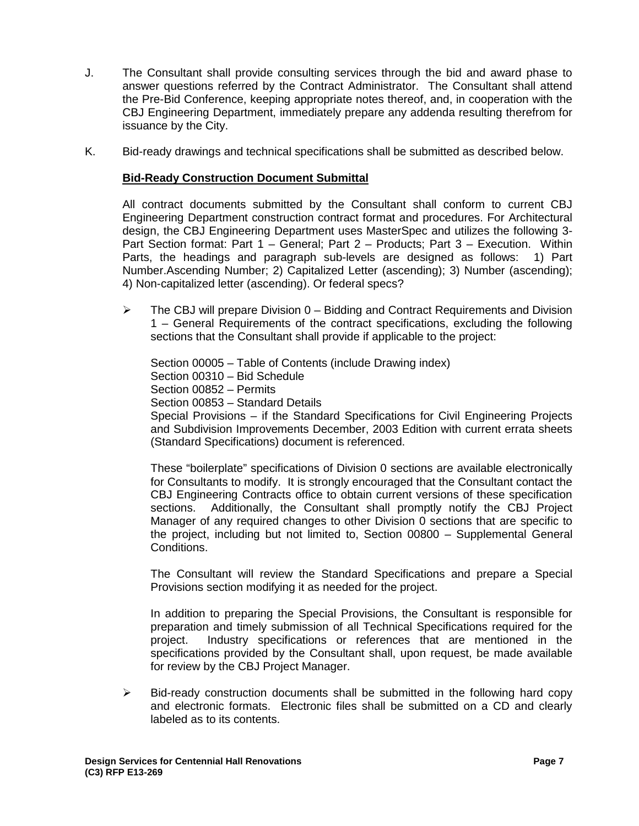- J. The Consultant shall provide consulting services through the bid and award phase to answer questions referred by the Contract Administrator. The Consultant shall attend the Pre-Bid Conference, keeping appropriate notes thereof, and, in cooperation with the CBJ Engineering Department, immediately prepare any addenda resulting therefrom for issuance by the City.
- K. Bid-ready drawings and technical specifications shall be submitted as described below.

## **Bid-Ready Construction Document Submittal**

All contract documents submitted by the Consultant shall conform to current CBJ Engineering Department construction contract format and procedures. For Architectural design, the CBJ Engineering Department uses MasterSpec and utilizes the following 3- Part Section format: Part 1 – General; Part 2 – Products; Part 3 – Execution. Within Parts, the headings and paragraph sub-levels are designed as follows: 1) Part Number.Ascending Number; 2) Capitalized Letter (ascending); 3) Number (ascending); 4) Non-capitalized letter (ascending). Or federal specs?

 $\triangleright$  The CBJ will prepare Division 0 – Bidding and Contract Requirements and Division 1 – General Requirements of the contract specifications, excluding the following sections that the Consultant shall provide if applicable to the project:

Section 00005 – Table of Contents (include Drawing index) Section 00310 – Bid Schedule Section 00852 – Permits Section 00853 – Standard Details Special Provisions – if the Standard Specifications for Civil Engineering Projects and Subdivision Improvements December, 2003 Edition with current errata sheets (Standard Specifications) document is referenced.

These "boilerplate" specifications of Division 0 sections are available electronically for Consultants to modify. It is strongly encouraged that the Consultant contact the CBJ Engineering Contracts office to obtain current versions of these specification sections. Additionally, the Consultant shall promptly notify the CBJ Project Manager of any required changes to other Division 0 sections that are specific to the project, including but not limited to, Section 00800 – Supplemental General Conditions.

The Consultant will review the Standard Specifications and prepare a Special Provisions section modifying it as needed for the project.

In addition to preparing the Special Provisions, the Consultant is responsible for preparation and timely submission of all Technical Specifications required for the project. Industry specifications or references that are mentioned in the specifications provided by the Consultant shall, upon request, be made available for review by the CBJ Project Manager.

 $\triangleright$  Bid-ready construction documents shall be submitted in the following hard copy and electronic formats. Electronic files shall be submitted on a CD and clearly labeled as to its contents.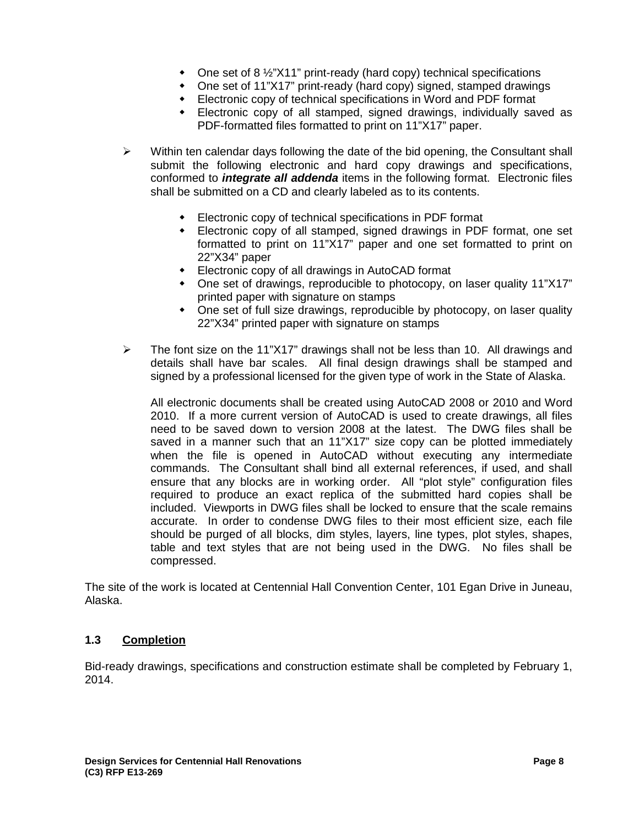- One set of 8 1/2"X11" print-ready (hard copy) technical specifications
- One set of 11"X17" print-ready (hard copy) signed, stamped drawings
- Electronic copy of technical specifications in Word and PDF format
- Electronic copy of all stamped, signed drawings, individually saved as PDF-formatted files formatted to print on 11"X17" paper.
- $\triangleright$  Within ten calendar days following the date of the bid opening, the Consultant shall submit the following electronic and hard copy drawings and specifications, conformed to *integrate all addenda* items in the following format. Electronic files shall be submitted on a CD and clearly labeled as to its contents.
	- Electronic copy of technical specifications in PDF format
	- Electronic copy of all stamped, signed drawings in PDF format, one set formatted to print on 11"X17" paper and one set formatted to print on 22"X34" paper
	- Electronic copy of all drawings in AutoCAD format
	- One set of drawings, reproducible to photocopy, on laser quality 11"X17" printed paper with signature on stamps
	- One set of full size drawings, reproducible by photocopy, on laser quality 22"X34" printed paper with signature on stamps
- $\triangleright$  The font size on the 11"X17" drawings shall not be less than 10. All drawings and details shall have bar scales. All final design drawings shall be stamped and signed by a professional licensed for the given type of work in the State of Alaska.

All electronic documents shall be created using AutoCAD 2008 or 2010 and Word 2010. If a more current version of AutoCAD is used to create drawings, all files need to be saved down to version 2008 at the latest. The DWG files shall be saved in a manner such that an 11"X17" size copy can be plotted immediately when the file is opened in AutoCAD without executing any intermediate commands. The Consultant shall bind all external references, if used, and shall ensure that any blocks are in working order. All "plot style" configuration files required to produce an exact replica of the submitted hard copies shall be included. Viewports in DWG files shall be locked to ensure that the scale remains accurate. In order to condense DWG files to their most efficient size, each file should be purged of all blocks, dim styles, layers, line types, plot styles, shapes, table and text styles that are not being used in the DWG. No files shall be compressed.

The site of the work is located at Centennial Hall Convention Center, 101 Egan Drive in Juneau, Alaska.

## **1.3 Completion**

Bid-ready drawings, specifications and construction estimate shall be completed by February 1, 2014.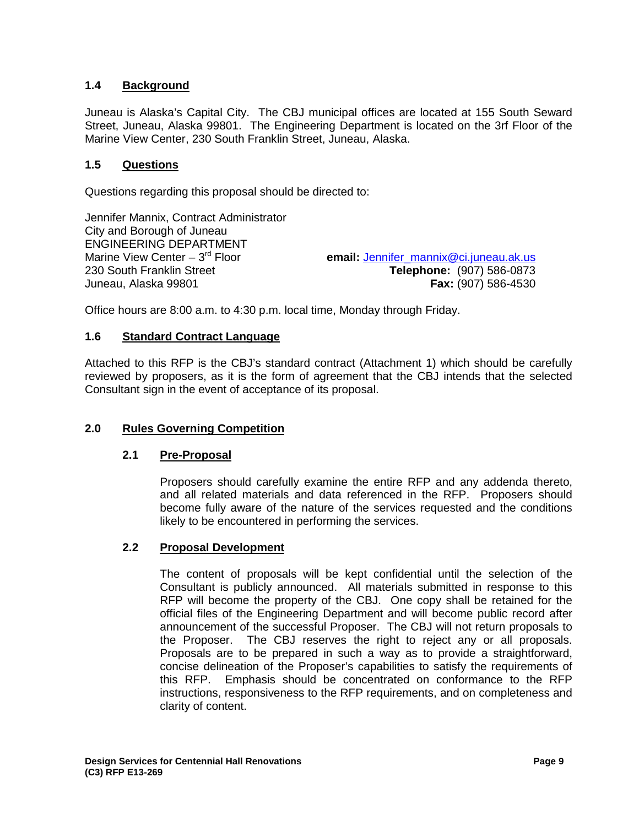# **1.4 Background**

Juneau is Alaska's Capital City. The CBJ municipal offices are located at 155 South Seward Street, Juneau, Alaska 99801. The Engineering Department is located on the 3rf Floor of the Marine View Center, 230 South Franklin Street, Juneau, Alaska.

## **1.5 Questions**

Questions regarding this proposal should be directed to:

Jennifer Mannix, Contract Administrator City and Borough of Juneau ENGINEERING DEPARTMENT Marine View Center – 3<sup>rd</sup> Floor Marine View Center – 3<sup>rd</sup> Floor **email:** <u>Jennifer\_mannix@ci.juneau.ak.us</u><br>230 South Franklin Street **by Elephone:** (907) 586-0873 Juneau, Alaska 99801 **Fax:** (907) 586-4530

230 South Franklin Street **Telephone:** (907) 586-0873

Office hours are 8:00 a.m. to 4:30 p.m. local time, Monday through Friday.

## **1.6 Standard Contract Language**

Attached to this RFP is the CBJ's standard contract (Attachment 1) which should be carefully reviewed by proposers, as it is the form of agreement that the CBJ intends that the selected Consultant sign in the event of acceptance of its proposal.

## **2.0 Rules Governing Competition**

#### **2.1 Pre-Proposal**

Proposers should carefully examine the entire RFP and any addenda thereto, and all related materials and data referenced in the RFP. Proposers should become fully aware of the nature of the services requested and the conditions likely to be encountered in performing the services.

## **2.2 Proposal Development**

The content of proposals will be kept confidential until the selection of the Consultant is publicly announced. All materials submitted in response to this RFP will become the property of the CBJ. One copy shall be retained for the official files of the Engineering Department and will become public record after announcement of the successful Proposer. The CBJ will not return proposals to the Proposer. The CBJ reserves the right to reject any or all proposals. Proposals are to be prepared in such a way as to provide a straightforward, concise delineation of the Proposer's capabilities to satisfy the requirements of this RFP. Emphasis should be concentrated on conformance to the RFP instructions, responsiveness to the RFP requirements, and on completeness and clarity of content.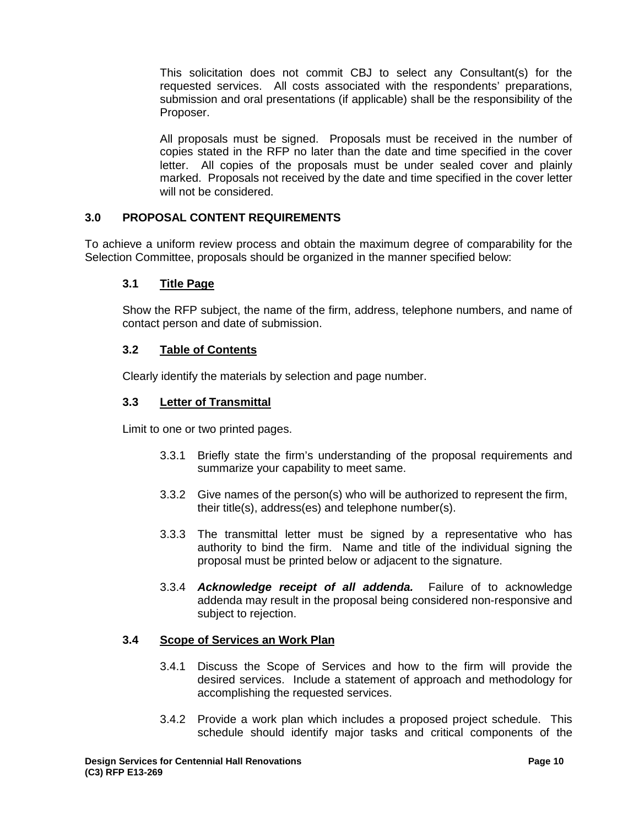This solicitation does not commit CBJ to select any Consultant(s) for the requested services. All costs associated with the respondents' preparations, submission and oral presentations (if applicable) shall be the responsibility of the Proposer.

All proposals must be signed. Proposals must be received in the number of copies stated in the RFP no later than the date and time specified in the cover letter. All copies of the proposals must be under sealed cover and plainly marked. Proposals not received by the date and time specified in the cover letter will not be considered.

# **3.0 PROPOSAL CONTENT REQUIREMENTS**

To achieve a uniform review process and obtain the maximum degree of comparability for the Selection Committee, proposals should be organized in the manner specified below:

## **3.1 Title Page**

Show the RFP subject, the name of the firm, address, telephone numbers, and name of contact person and date of submission.

## **3.2 Table of Contents**

Clearly identify the materials by selection and page number.

## **3.3 Letter of Transmittal**

Limit to one or two printed pages.

- 3.3.1 Briefly state the firm's understanding of the proposal requirements and summarize your capability to meet same.
- 3.3.2 Give names of the person(s) who will be authorized to represent the firm, their title(s), address(es) and telephone number(s).
- 3.3.3 The transmittal letter must be signed by a representative who has authority to bind the firm. Name and title of the individual signing the proposal must be printed below or adjacent to the signature.
- 3.3.4 *Acknowledge receipt of all addenda.* Failure of to acknowledge addenda may result in the proposal being considered non-responsive and subject to rejection.

#### **3.4 Scope of Services an Work Plan**

- 3.4.1 Discuss the Scope of Services and how to the firm will provide the desired services. Include a statement of approach and methodology for accomplishing the requested services.
- 3.4.2 Provide a work plan which includes a proposed project schedule. This schedule should identify major tasks and critical components of the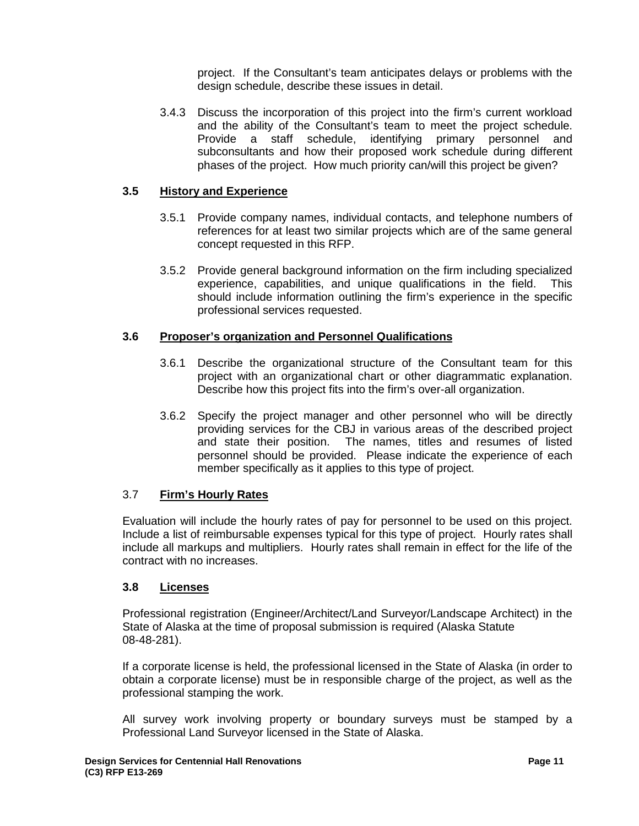project. If the Consultant's team anticipates delays or problems with the design schedule, describe these issues in detail.

3.4.3 Discuss the incorporation of this project into the firm's current workload and the ability of the Consultant's team to meet the project schedule. Provide a staff schedule, identifying primary personnel and subconsultants and how their proposed work schedule during different phases of the project. How much priority can/will this project be given?

## **3.5 History and Experience**

- 3.5.1 Provide company names, individual contacts, and telephone numbers of references for at least two similar projects which are of the same general concept requested in this RFP.
- 3.5.2 Provide general background information on the firm including specialized experience, capabilities, and unique qualifications in the field. This should include information outlining the firm's experience in the specific professional services requested.

## **3.6 Proposer's organization and Personnel Qualifications**

- 3.6.1 Describe the organizational structure of the Consultant team for this project with an organizational chart or other diagrammatic explanation. Describe how this project fits into the firm's over-all organization.
- 3.6.2 Specify the project manager and other personnel who will be directly providing services for the CBJ in various areas of the described project and state their position. The names, titles and resumes of listed personnel should be provided. Please indicate the experience of each member specifically as it applies to this type of project.

#### 3.7 **Firm's Hourly Rates**

Evaluation will include the hourly rates of pay for personnel to be used on this project. Include a list of reimbursable expenses typical for this type of project. Hourly rates shall include all markups and multipliers. Hourly rates shall remain in effect for the life of the contract with no increases.

#### **3.8 Licenses**

Professional registration (Engineer/Architect/Land Surveyor/Landscape Architect) in the State of Alaska at the time of proposal submission is required (Alaska Statute 08-48-281).

If a corporate license is held, the professional licensed in the State of Alaska (in order to obtain a corporate license) must be in responsible charge of the project, as well as the professional stamping the work.

All survey work involving property or boundary surveys must be stamped by a Professional Land Surveyor licensed in the State of Alaska.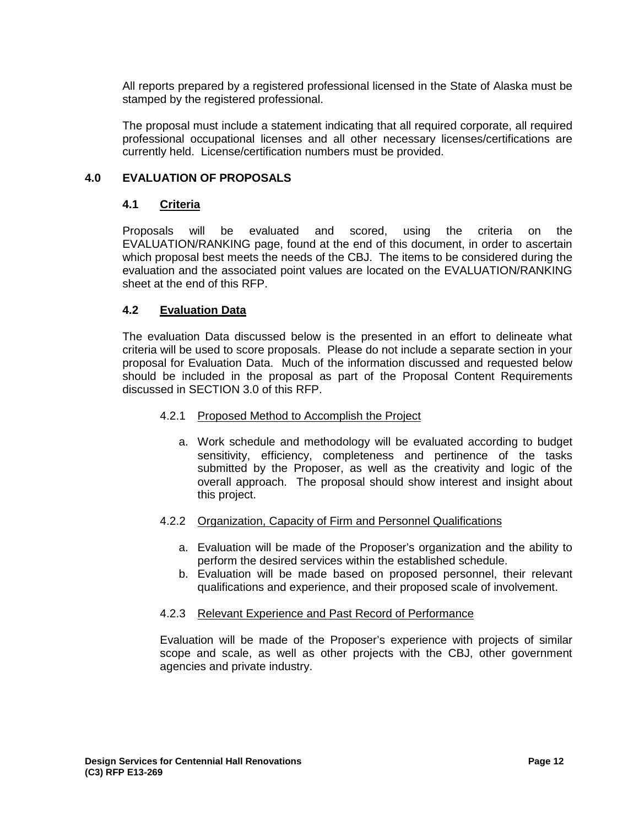All reports prepared by a registered professional licensed in the State of Alaska must be stamped by the registered professional.

The proposal must include a statement indicating that all required corporate, all required professional occupational licenses and all other necessary licenses/certifications are currently held. License/certification numbers must be provided.

## **4.0 EVALUATION OF PROPOSALS**

#### **4.1 Criteria**

Proposals will be evaluated and scored, using the criteria on the EVALUATION/RANKING page, found at the end of this document, in order to ascertain which proposal best meets the needs of the CBJ. The items to be considered during the evaluation and the associated point values are located on the EVALUATION/RANKING sheet at the end of this RFP.

## **4.2 Evaluation Data**

The evaluation Data discussed below is the presented in an effort to delineate what criteria will be used to score proposals. Please do not include a separate section in your proposal for Evaluation Data. Much of the information discussed and requested below should be included in the proposal as part of the Proposal Content Requirements discussed in SECTION 3.0 of this RFP.

#### 4.2.1 Proposed Method to Accomplish the Project

a. Work schedule and methodology will be evaluated according to budget sensitivity, efficiency, completeness and pertinence of the tasks submitted by the Proposer, as well as the creativity and logic of the overall approach. The proposal should show interest and insight about this project.

#### 4.2.2 Organization, Capacity of Firm and Personnel Qualifications

- a. Evaluation will be made of the Proposer's organization and the ability to perform the desired services within the established schedule.
- b. Evaluation will be made based on proposed personnel, their relevant qualifications and experience, and their proposed scale of involvement.

#### 4.2.3 Relevant Experience and Past Record of Performance

Evaluation will be made of the Proposer's experience with projects of similar scope and scale, as well as other projects with the CBJ, other government agencies and private industry.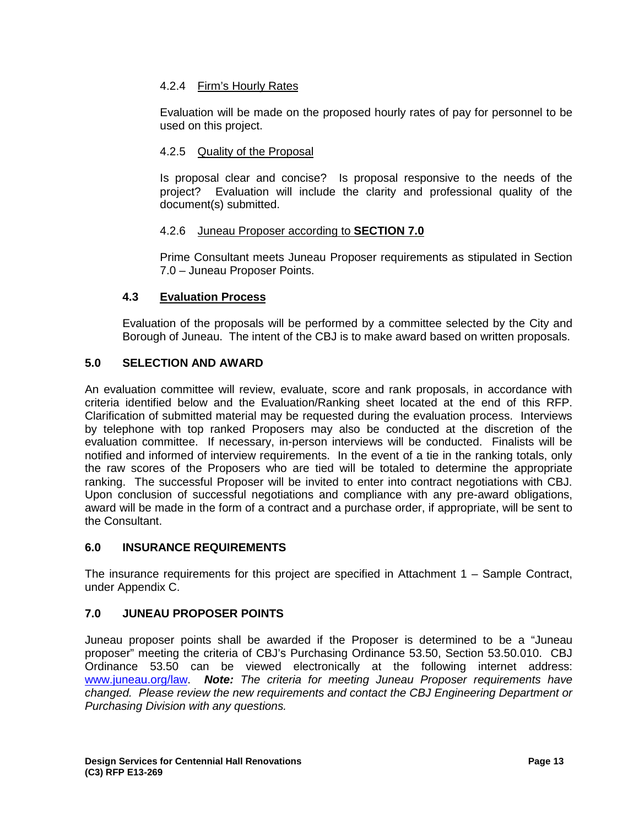# 4.2.4 Firm's Hourly Rates

Evaluation will be made on the proposed hourly rates of pay for personnel to be used on this project.

## 4.2.5 Quality of the Proposal

Is proposal clear and concise? Is proposal responsive to the needs of the project? Evaluation will include the clarity and professional quality of the document(s) submitted.

#### 4.2.6 Juneau Proposer according to **SECTION 7.0**

Prime Consultant meets Juneau Proposer requirements as stipulated in Section 7.0 – Juneau Proposer Points.

## **4.3 Evaluation Process**

Evaluation of the proposals will be performed by a committee selected by the City and Borough of Juneau. The intent of the CBJ is to make award based on written proposals.

## **5.0 SELECTION AND AWARD**

An evaluation committee will review, evaluate, score and rank proposals, in accordance with criteria identified below and the Evaluation/Ranking sheet located at the end of this RFP. Clarification of submitted material may be requested during the evaluation process. Interviews by telephone with top ranked Proposers may also be conducted at the discretion of the evaluation committee. If necessary, in-person interviews will be conducted. Finalists will be notified and informed of interview requirements. In the event of a tie in the ranking totals, only the raw scores of the Proposers who are tied will be totaled to determine the appropriate ranking. The successful Proposer will be invited to enter into contract negotiations with CBJ. Upon conclusion of successful negotiations and compliance with any pre-award obligations, award will be made in the form of a contract and a purchase order, if appropriate, will be sent to the Consultant.

#### **6.0 INSURANCE REQUIREMENTS**

The insurance requirements for this project are specified in Attachment 1 – Sample Contract, under Appendix C.

## **7.0 JUNEAU PROPOSER POINTS**

Juneau proposer points shall be awarded if the Proposer is determined to be a "Juneau proposer" meeting the criteria of CBJ's Purchasing Ordinance 53.50, Section 53.50.010. CBJ Ordinance 53.50 can be viewed electronically at the following internet address: www.juneau.org/law. *Note: The criteria for meeting Juneau Proposer requirements have changed. Please review the new requirements and contact the CBJ Engineering Department or Purchasing Division with any questions.*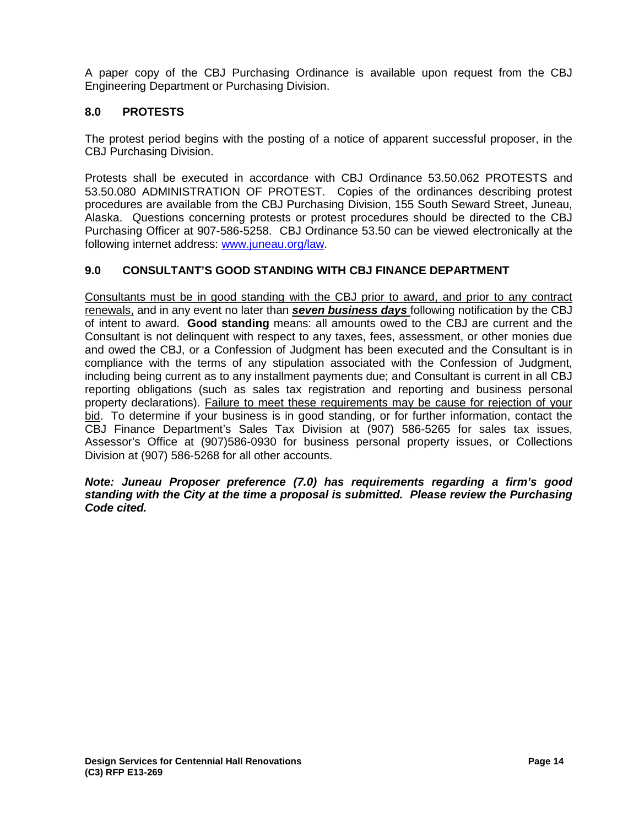A paper copy of the CBJ Purchasing Ordinance is available upon request from the CBJ Engineering Department or Purchasing Division.

# **8.0 PROTESTS**

The protest period begins with the posting of a notice of apparent successful proposer, in the CBJ Purchasing Division.

Protests shall be executed in accordance with CBJ Ordinance 53.50.062 PROTESTS and 53.50.080 ADMINISTRATION OF PROTEST. Copies of the ordinances describing protest procedures are available from the CBJ Purchasing Division, 155 South Seward Street, Juneau, Alaska. Questions concerning protests or protest procedures should be directed to the CBJ Purchasing Officer at 907-586-5258. CBJ Ordinance 53.50 can be viewed electronically at the following internet address: www.juneau.org/law.

## **9.0 CONSULTANT'S GOOD STANDING WITH CBJ FINANCE DEPARTMENT**

Consultants must be in good standing with the CBJ prior to award, and prior to any contract renewals, and in any event no later than *seven business days* following notification by the CBJ of intent to award. **Good standing** means: all amounts owed to the CBJ are current and the Consultant is not delinquent with respect to any taxes, fees, assessment, or other monies due and owed the CBJ, or a Confession of Judgment has been executed and the Consultant is in compliance with the terms of any stipulation associated with the Confession of Judgment, including being current as to any installment payments due; and Consultant is current in all CBJ reporting obligations (such as sales tax registration and reporting and business personal property declarations). Failure to meet these requirements may be cause for rejection of your bid. To determine if your business is in good standing, or for further information, contact the CBJ Finance Department's Sales Tax Division at (907) 586-5265 for sales tax issues, Assessor's Office at (907)586-0930 for business personal property issues, or Collections Division at (907) 586-5268 for all other accounts.

#### *Note: Juneau Proposer preference (7.0) has requirements regarding a firm's good standing with the City at the time a proposal is submitted. Please review the Purchasing Code cited.*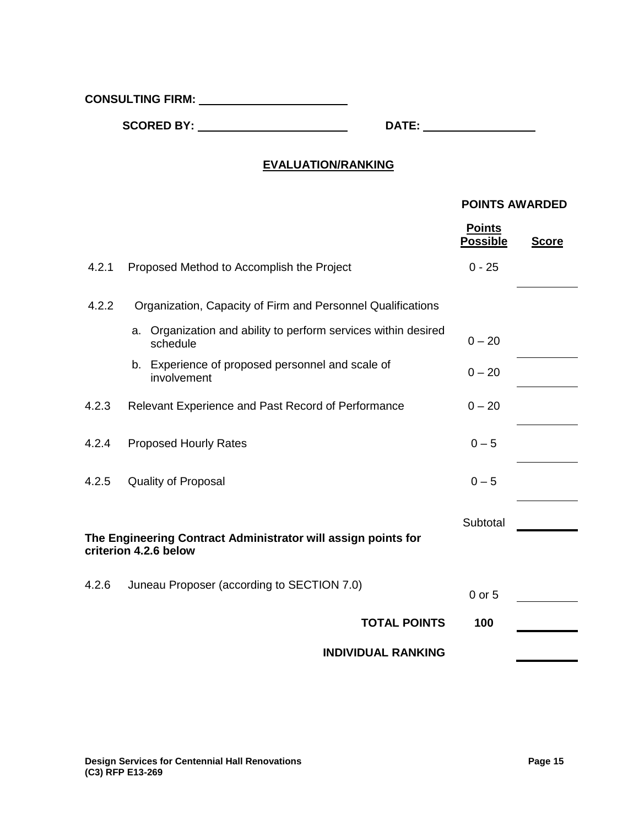**CONSULTING FIRM:**

**SCORED BY: DATE:**

# **EVALUATION/RANKING**

## **POINTS AWARDED**

|       |                                                                                        | <b>Points</b><br><b>Possible</b> | <b>Score</b> |
|-------|----------------------------------------------------------------------------------------|----------------------------------|--------------|
| 4.2.1 | Proposed Method to Accomplish the Project                                              | $0 - 25$                         |              |
| 4.2.2 | Organization, Capacity of Firm and Personnel Qualifications                            |                                  |              |
|       | a. Organization and ability to perform services within desired<br>schedule             | $0 - 20$                         |              |
|       | b. Experience of proposed personnel and scale of<br>involvement                        | $0 - 20$                         |              |
| 4.2.3 | Relevant Experience and Past Record of Performance                                     | $0 - 20$                         |              |
| 4.2.4 | <b>Proposed Hourly Rates</b>                                                           | $0 - 5$                          |              |
| 4.2.5 | <b>Quality of Proposal</b>                                                             | $0 - 5$                          |              |
|       | The Engineering Contract Administrator will assign points for<br>criterion 4.2.6 below | Subtotal                         |              |
| 4.2.6 | Juneau Proposer (according to SECTION 7.0)                                             | $0$ or $5$                       |              |
|       | <b>TOTAL POINTS</b>                                                                    | 100                              |              |
|       | <b>INDIVIDUAL RANKING</b>                                                              |                                  |              |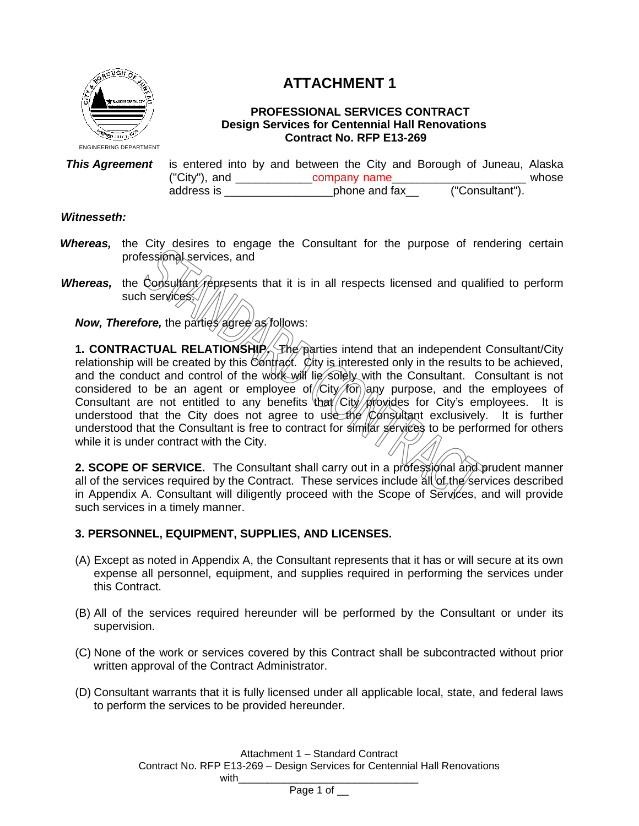

# **ATTACHMENT 1**

## **PROFESSIONAL SERVICES CONTRACT Design Services for Centennial Hall Renovations Contract No. RFP E13-269**

**This Agreement** is entered into by and between the City and Borough of Juneau, Alaska<br>
("City"), and company name ("City"), and  $\frac{\text{company name}}{\text{phone and fax}}$  ("Consultant"). address is \_\_\_\_\_\_\_\_\_\_\_\_\_\_\_\_\_\_\_\_\_\_ phone and fax

## *Witnesseth:*

- *Whereas,* the City desires to engage the Consultant for the purpose of rendering certain professional services, and
- *Whereas*, the Consultant represents that it is in all respects licensed and qualified to perform such services;

*Now, Therefore, the parties agree as follows:* 

**1. CONTRACTUAL RELATIONSHIP.** The parties intend that an independent Consultant/City relationship will be created by this Contract. City is interested only in the results to be achieved, and the conduct and control of the work will lie solely with the Consultant. Consultant is not considered to be an agent or employee of  $/$ City $/$ for) any purpose, and the employees of Consultant are not entitled to any benefits that City provides for City's employees. It is understood that the City does not agree to use the Consultant exclusively. It is further understood that the Consultant is free to contract for similar services to be performed for others while it is under contract with the City.

2. SCOPE OF SERVICE. The Consultant shall carry out in a professional and prudent manner all of the services required by the Contract. These services include  $\frac{d}{dt}$  of the services described in Appendix A. Consultant will diligently proceed with the Scope of Services, and will provide such services in a timely manner.

## **3. PERSONNEL, EQUIPMENT, SUPPLIES, AND LICENSES.**

- (A) Except as noted in Appendix A, the Consultant represents that it has or will secure at its own expense all personnel, equipment, and supplies required in performing the services under this Contract.
- (B) All of the services required hereunder will be performed by the Consultant or under its supervision.
- (C) None of the work or services covered by this Contract shall be subcontracted without prior written approval of the Contract Administrator.
- (D) Consultant warrants that it is fully licensed under all applicable local, state, and federal laws to perform the services to be provided hereunder.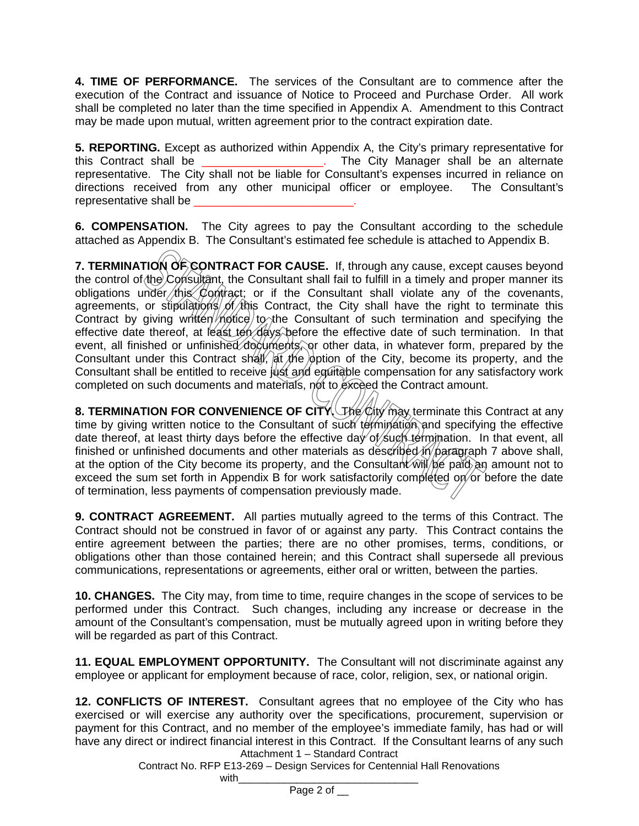**4. TIME OF PERFORMANCE.** The services of the Consultant are to commence after the execution of the Contract and issuance of Notice to Proceed and Purchase Order. All work shall be completed no later than the time specified in Appendix A. Amendment to this Contract may be made upon mutual, written agreement prior to the contract expiration date.

**5. REPORTING.** Except as authorized within Appendix A, the City's primary representative for this Contract shall be \_\_\_\_\_\_\_\_\_\_\_\_\_\_\_\_\_\_\_. The City Manager shall be an alternate representative. The City shall not be liable for Consultant's expenses incurred in reliance on directions received from any other municipal officer or employee. The Consultant's representative shall be

**6. COMPENSATION.** The City agrees to pay the Consultant according to the schedule attached as Appendix B. The Consultant's estimated fee schedule is attached to Appendix B.

**7. TERMINATION OF CONTRACT FOR CAUSE.** If, through any cause, except causes beyond the control of the Consultant, the Consultant shall fail to fulfill in a timely and proper manner its obligations under this Contract; or if the Consultant shall violate any of the covenants, agreements, or stipulations of this Contract, the City shall have the right to terminate this Contract by giving written  $m$  to the Consultant of such termination and specifying the effective date thereof, at least ten days before the effective date of such termination. In that event, all finished or unfinished documents, or other data, in whatever form, prepared by the Consultant under this Contract shall, at the option of the City, become its property, and the Consultant shall be entitled to receive just and equitable compensation for any satisfactory work completed on such documents and materials, not to exceed the Contract amount.

**8. TERMINATION FOR CONVENIENCE OF CITY.** The City may terminate this Contract at any time by giving written notice to the Consultant of such termination and specifying the effective date thereof, at least thirty days before the effective day of such termination. In that event, all finished or unfinished documents and other materials as described  $\hat{n}/\hat{p}$ aragraph 7 above shall, at the option of the City become its property, and the Consultant will be paid an amount not to exceed the sum set forth in Appendix B for work satisfactorily completed on or before the date of termination, less payments of compensation previously made.

**9. CONTRACT AGREEMENT.** All parties mutually agreed to the terms of this Contract. The Contract should not be construed in favor of or against any party. This Contract contains the entire agreement between the parties; there are no other promises, terms, conditions, or obligations other than those contained herein; and this Contract shall supersede all previous communications, representations or agreements, either oral or written, between the parties.

**10. CHANGES.** The City may, from time to time, require changes in the scope of services to be performed under this Contract. Such changes, including any increase or decrease in the amount of the Consultant's compensation, must be mutually agreed upon in writing before they will be regarded as part of this Contract.

**11. EQUAL EMPLOYMENT OPPORTUNITY.** The Consultant will not discriminate against any employee or applicant for employment because of race, color, religion, sex, or national origin.

Attachment 1 – Standard Contract **12. CONFLICTS OF INTEREST.** Consultant agrees that no employee of the City who has exercised or will exercise any authority over the specifications, procurement, supervision or payment for this Contract, and no member of the employee's immediate family, has had or will have any direct or indirect financial interest in this Contract. If the Consultant learns of any such

Contract No. RFP E13-269 – Design Services for Centennial Hall Renovations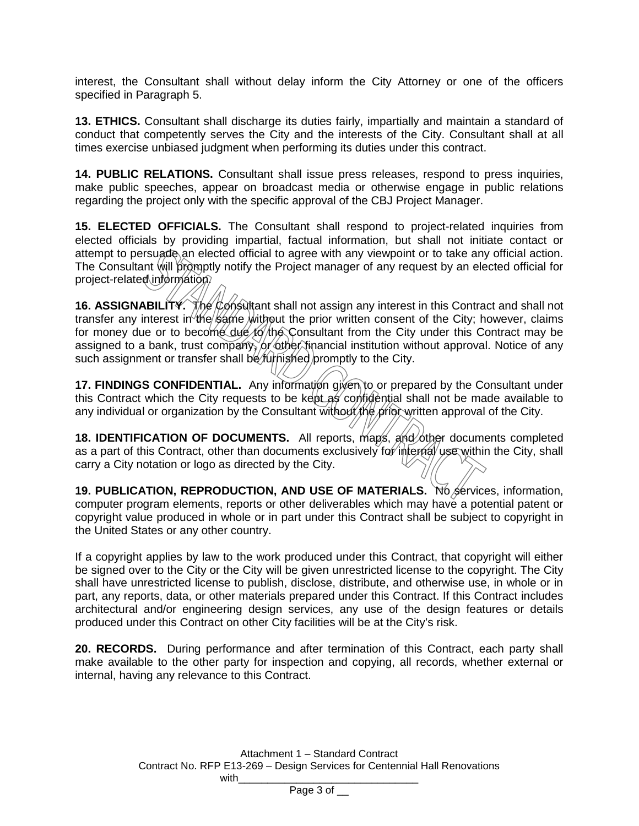interest, the Consultant shall without delay inform the City Attorney or one of the officers specified in Paragraph 5.

**13. ETHICS.** Consultant shall discharge its duties fairly, impartially and maintain a standard of conduct that competently serves the City and the interests of the City. Consultant shall at all times exercise unbiased judgment when performing its duties under this contract.

**14. PUBLIC RELATIONS.** Consultant shall issue press releases, respond to press inquiries, make public speeches, appear on broadcast media or otherwise engage in public relations regarding the project only with the specific approval of the CBJ Project Manager.

**15. ELECTED OFFICIALS.** The Consultant shall respond to project-related inquiries from elected officials by providing impartial, factual information, but shall not initiate contact or attempt to persuade an elected official to agree with any viewpoint or to take any official action. The Consultant will promptly notify the Project manager of any request by an elected official for project-related information.

16. ASSIGNABILITY. The Consultant shall not assign any interest in this Contract and shall not transfer any interest in the same without the prior written consent of the City; however, claims for money due or to become due to the Consultant from the City under this Contract may be assigned to a bank, trust company, or other financial institution without approval. Notice of any such assignment or transfer shall be furtished promptly to the City.

17. FINDINGS CONFIDENTIAL. Any information given to or prepared by the Consultant under this Contract which the City requests to be kept as confidential shall not be made available to any individual or organization by the Consultant without the prior written approval of the City.

**18. IDENTIFICATION OF DOCUMENTS.** All reports, maps, and other documents completed as a part of this Contract, other than documents exclusively for internal use within the City, shall carry a City notation or logo as directed by the City.

**19. PUBLICATION, REPRODUCTION, AND USE OF MATERIALS.** No services, information, computer program elements, reports or other deliverables which may have a potential patent or copyright value produced in whole or in part under this Contract shall be subject to copyright in the United States or any other country.

If a copyright applies by law to the work produced under this Contract, that copyright will either be signed over to the City or the City will be given unrestricted license to the copyright. The City shall have unrestricted license to publish, disclose, distribute, and otherwise use, in whole or in part, any reports, data, or other materials prepared under this Contract. If this Contract includes architectural and/or engineering design services, any use of the design features or details produced under this Contract on other City facilities will be at the City's risk.

**20. RECORDS.** During performance and after termination of this Contract, each party shall make available to the other party for inspection and copying, all records, whether external or internal, having any relevance to this Contract.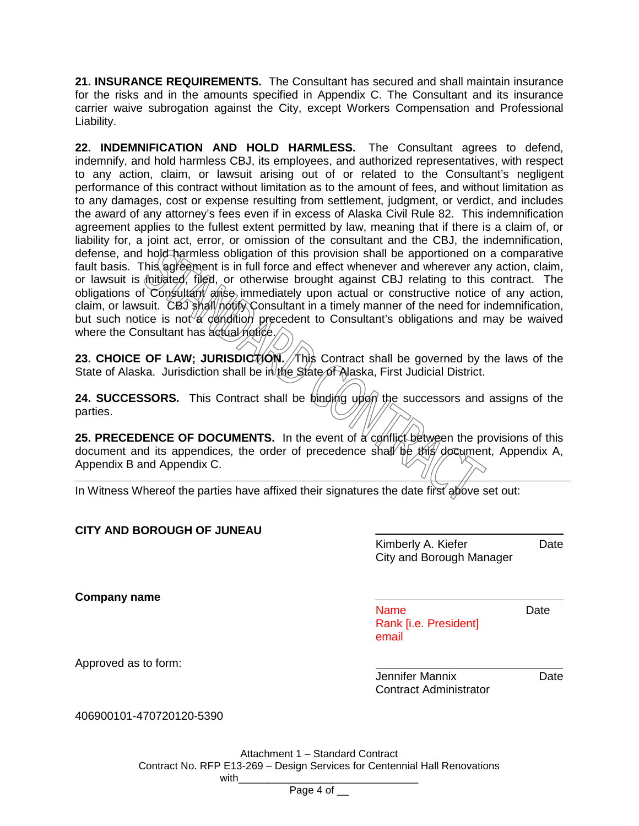**21. INSURANCE REQUIREMENTS.** The Consultant has secured and shall maintain insurance for the risks and in the amounts specified in Appendix C. The Consultant and its insurance carrier waive subrogation against the City, except Workers Compensation and Professional Liability.

**22. INDEMNIFICATION AND HOLD HARMLESS.** The Consultant agrees to defend, indemnify, and hold harmless CBJ, its employees, and authorized representatives, with respect to any action, claim, or lawsuit arising out of or related to the Consultant's negligent performance of this contract without limitation as to the amount of fees, and without limitation as to any damages, cost or expense resulting from settlement, judgment, or verdict, and includes the award of any attorney's fees even if in excess of Alaska Civil Rule 82. This indemnification agreement applies to the fullest extent permitted by law, meaning that if there is a claim of, or liability for, a joint act, error, or omission of the consultant and the CBJ, the indemnification, defense, and hold harmless obligation of this provision shall be apportioned on a comparative fault basis. This agreement is in full force and effect whenever and wherever any action, claim, or lawsuit is initiated, filed, or otherwise brought against CBJ relating to this contract. The obligations of Consultant arise immediately upon actual or constructive notice of any action, claim, or lawsuit. CBJ shall notify Consultant in a timely manner of the need for indemnification, but such notice is not a condition precedent to Consultant's obligations and may be waived where the Consultant has actual notice.

23. CHOICE OF LAW; JURISDICTION. This Contract shall be governed by the laws of the State of Alaska. Jurisdiction shall be in the State of Alaska, First Judicial District.

**24. SUCCESSORS.** This Contract shall be binding upon the successors and assigns of the parties.

**25. PRECEDENCE OF DOCUMENTS.** In the event of a conflict between the provisions of this document and its appendices, the order of precedence shall be this document, Appendix A, Appendix B and Appendix C.

In Witness Whereof the parties have affixed their signatures the date first above set out:

| <b>CITY AND BOROUGH OF JUNEAU</b> | Kimberly A. Kiefer<br>City and Borough Manager | Date |
|-----------------------------------|------------------------------------------------|------|
| Company name                      |                                                |      |

Name Date Rank [i.e. President] email

Approved as to form:

Jennifer Mannix Date Contract Administrator

406900101-470720120-5390

Attachment 1 – Standard Contract Contract No. RFP E13-269 – Design Services for Centennial Hall Renovations with\_\_\_\_\_\_\_\_\_\_\_\_\_\_\_\_\_\_\_\_\_\_\_\_\_\_\_\_\_\_\_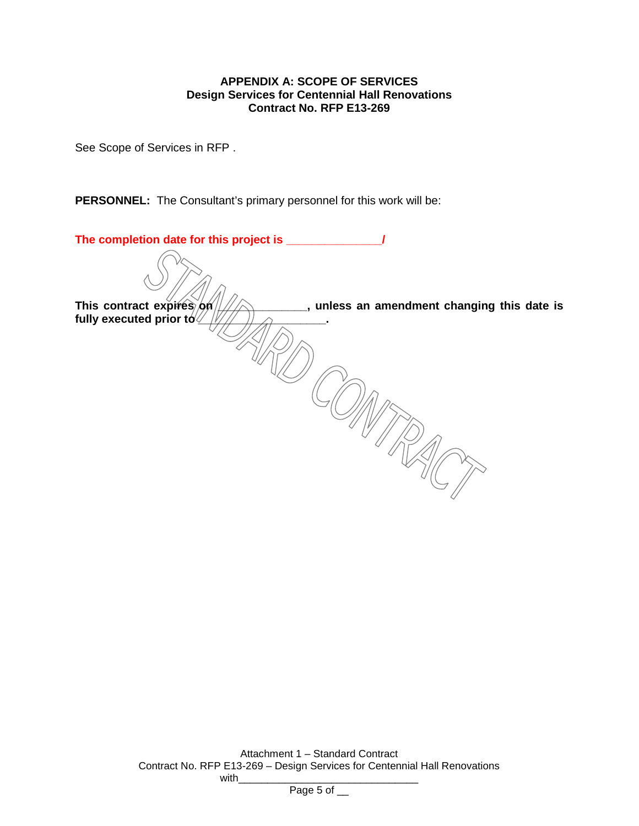## **APPENDIX A: SCOPE OF SERVICES Design Services for Centennial Hall Renovations Contract No. RFP E13-269**

See Scope of Services in RFP .

**PERSONNEL:** The Consultant's primary personnel for this work will be:

| The completion date for this project is _                               |
|-------------------------------------------------------------------------|
|                                                                         |
| This contract expires on<br>, unless an amendment changing this date is |
| fully executed prior to $\sqrt{2}$                                      |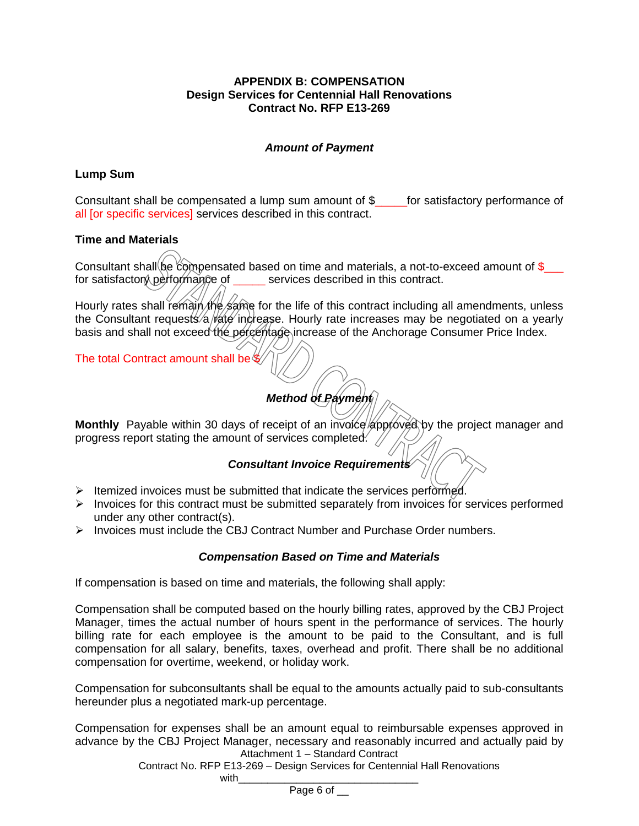## **APPENDIX B: COMPENSATION Design Services for Centennial Hall Renovations Contract No. RFP E13-269**

# *Amount of Payment*

# **Lump Sum**

Consultant shall be compensated a lump sum amount of \$\_\_\_\_\_for satisfactory performance of all [or specific services] services described in this contract.

# **Time and Materials**

Consultant shall be compensated based on time and materials, a not-to-exceed amount of  $\$$ for satisfactory performance of services described in this contract.

Hourly rates shall remain the same for the life of this contract including all amendments, unless the Consultant requests/a/rate increase. Hourly rate increases may be negotiated on a yearly basis and shall not exceed the percentage increase of the Anchorage Consumer Price Index.

The total Contract amount shall be \$

# *Method of Payment*

Monthly Payable within 30 days of receipt of an invoice approved by the project manager and progress report stating the amount of services completed.  $\sqrt{}$ 

# *Consultant Invoice Requirements*

- $\triangleright$  Itemized invoices must be submitted that indicate the services performed.
- $\triangleright$  Invoices for this contract must be submitted separately from invoices for services performed under any other contract(s).
- $\triangleright$  Invoices must include the CBJ Contract Number and Purchase Order numbers.

# *Compensation Based on Time and Materials*

If compensation is based on time and materials, the following shall apply:

Compensation shall be computed based on the hourly billing rates, approved by the CBJ Project Manager, times the actual number of hours spent in the performance of services. The hourly billing rate for each employee is the amount to be paid to the Consultant, and is full compensation for all salary, benefits, taxes, overhead and profit. There shall be no additional compensation for overtime, weekend, or holiday work.

Compensation for subconsultants shall be equal to the amounts actually paid to sub-consultants hereunder plus a negotiated mark-up percentage.

Attachment 1 – Standard Contract Compensation for expenses shall be an amount equal to reimbursable expenses approved in advance by the CBJ Project Manager, necessary and reasonably incurred and actually paid by

Contract No. RFP E13-269 – Design Services for Centennial Hall Renovations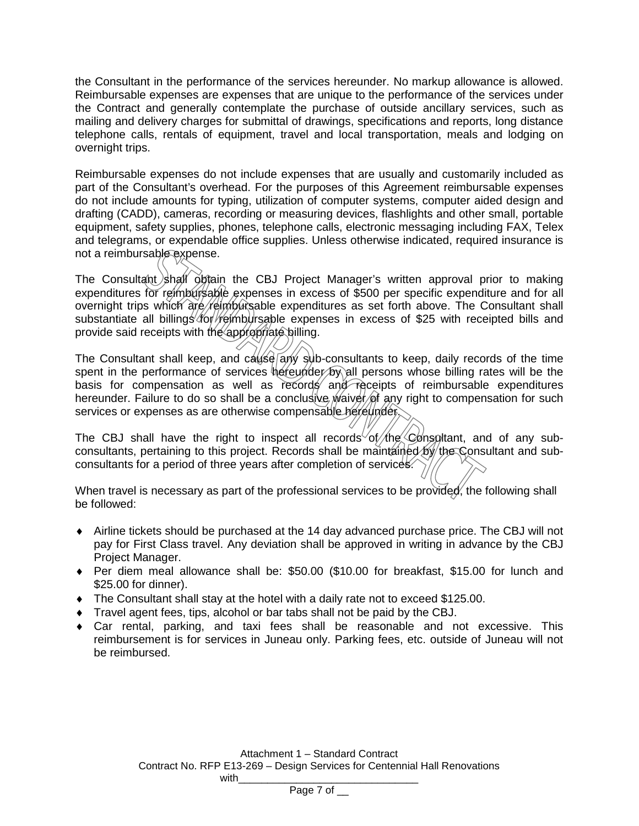the Consultant in the performance of the services hereunder. No markup allowance is allowed. Reimbursable expenses are expenses that are unique to the performance of the services under the Contract and generally contemplate the purchase of outside ancillary services, such as mailing and delivery charges for submittal of drawings, specifications and reports, long distance telephone calls, rentals of equipment, travel and local transportation, meals and lodging on overnight trips.

Reimbursable expenses do not include expenses that are usually and customarily included as part of the Consultant's overhead. For the purposes of this Agreement reimbursable expenses do not include amounts for typing, utilization of computer systems, computer aided design and drafting (CADD), cameras, recording or measuring devices, flashlights and other small, portable equipment, safety supplies, phones, telephone calls, electronic messaging including FAX, Telex and telegrams, or expendable office supplies. Unless otherwise indicated, required insurance is not a reimbursable expense.

The Consultant shall obtain the CBJ Project Manager's written approval prior to making expenditures for reimbursable expenses in excess of \$500 per specific expenditure and for all overnight trips which are reimbursable expenditures as set forth above. The Consultant shall substantiate all billings for reimbursable expenses in excess of \$25 with receipted bills and provide said receipts with the appropriate billing.

The Consultant shall keep, and cause any sub-consultants to keep, daily records of the time spent in the performance of services hereunder by all persons whose billing rates will be the basis for compensation as well as records and receipts of reimbursable expenditures hereunder. Failure to do so shall be a conclusive waiver of any right to compensation for such services or expenses as are otherwise compensable hereunder.

The CBJ shall have the right to inspect all records of the Consultant, and of any subconsultants, pertaining to this project. Records shall be maintained by the Consultant and subconsultants for a period of three years after completion of services.

When travel is necessary as part of the professional services to be provided, the following shall be followed:

- $\bullet$  Airline tickets should be purchased at the 14 day advanced purchase price. The CBJ will not pay for First Class travel. Any deviation shall be approved in writing in advance by the CBJ Project Manager.
- Per diem meal allowance shall be: \$50.00 (\$10.00 for breakfast, \$15.00 for lunch and \$25.00 for dinner).
- The Consultant shall stay at the hotel with a daily rate not to exceed \$125.00.
- Travel agent fees, tips, alcohol or bar tabs shall not be paid by the CBJ.
- Car rental, parking, and taxi fees shall be reasonable and not excessive. This reimbursement is for services in Juneau only. Parking fees, etc. outside of Juneau will not be reimbursed.